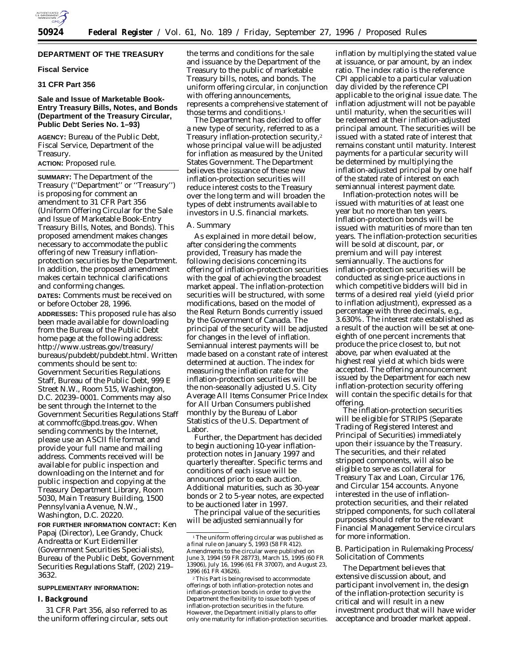

## **DEPARTMENT OF THE TREASURY**

## **Fiscal Service**

# **31 CFR Part 356**

## **Sale and Issue of Marketable Book-Entry Treasury Bills, Notes, and Bonds (Department of the Treasury Circular, Public Debt Series No. 1–93)**

**AGENCY:** Bureau of the Public Debt, Fiscal Service, Department of the Treasury.

## **ACTION:** Proposed rule.

**SUMMARY:** The Department of the Treasury (''Department'' or ''Treasury'') is proposing for comment an amendment to 31 CFR Part 356 (Uniform Offering Circular for the Sale and Issue of Marketable Book-Entry Treasury Bills, Notes, and Bonds). This proposed amendment makes changes necessary to accommodate the public offering of new Treasury inflationprotection securities by the Department. In addition, the proposed amendment makes certain technical clarifications and conforming changes.

**DATES:** Comments must be received on or before October 28, 1996. **ADDRESSES:** This proposed rule has also been made available for downloading from the Bureau of the Public Debt home page at the following address: http://www.ustreas.gov/treasury/ bureaus/pubdebt/pubdebt.html. Written comments should be sent to: Government Securities Regulations Staff, Bureau of the Public Debt, 999 E Street N.W., Room 515, Washington, D.C. 20239–0001. Comments may also be sent through the Internet to the Government Securities Regulations Staff at commoffc@bpd.treas.gov. When sending comments by the Internet, please use an ASCII file format and provide your full name and mailing address. Comments received will be available for public inspection and downloading on the Internet and for public inspection and copying at the Treasury Department Library, Room 5030, Main Treasury Building, 1500 Pennsylvania Avenue, N.W., Washington, D.C. 20220.

**FOR FURTHER INFORMATION CONTACT:** Ken Papaj (Director), Lee Grandy, Chuck Andreatta or Kurt Eidemiller (Government Securities Specialists), Bureau of the Public Debt, Government Securities Regulations Staff, (202) 219– 3632.

### **SUPPLEMENTARY INFORMATION:**

# **I. Background**

31 CFR Part 356, also referred to as the uniform offering circular, sets out the terms and conditions for the sale and issuance by the Department of the Treasury to the public of marketable Treasury bills, notes, and bonds. The uniform offering circular, in conjunction with offering announcements, represents a comprehensive statement of those terms and conditions.<sup>1</sup>

The Department has decided to offer a new type of security, referred to as a Treasury inflation-protection security,2 whose principal value will be adjusted for inflation as measured by the United States Government. The Department believes the issuance of these new inflation-protection securities will reduce interest costs to the Treasury over the long term and will broaden the types of debt instruments available to investors in U.S. financial markets.

### *A. Summary*

As explained in more detail below, after considering the comments provided, Treasury has made the following decisions concerning its offering of inflation-protection securities with the goal of achieving the broadest market appeal. The inflation-protection securities will be structured, with some modifications, based on the model of the Real Return Bonds currently issued by the Government of Canada. The principal of the security will be adjusted for changes in the level of inflation. Semiannual interest payments will be made based on a constant rate of interest determined at auction. The index for measuring the inflation rate for the inflation-protection securities will be the non-seasonally adjusted U.S. City Average All Items Consumer Price Index for All Urban Consumers published monthly by the Bureau of Labor Statistics of the U.S. Department of Labor.

Further, the Department has decided to begin auctioning 10-year inflationprotection notes in January 1997 and quarterly thereafter. Specific terms and conditions of each issue will be announced prior to each auction. Additional maturities, such as 30-year bonds or 2 to 5-year notes, are expected to be auctioned later in 1997.

The principal value of the securities will be adjusted semiannually for

inflation by multiplying the stated value at issuance, or par amount, by an index ratio. The index ratio is the reference CPI applicable to a particular valuation day divided by the reference CPI applicable to the original issue date. The inflation adjustment will not be payable until maturity, when the securities will be redeemed at their inflation-adjusted principal amount. The securities will be issued with a stated rate of interest that remains constant until maturity. Interest payments for a particular security will be determined by multiplying the inflation-adjusted principal by one half of the stated rate of interest on each semiannual interest payment date.

Inflation-protection notes will be issued with maturities of at least one year but no more than ten years. Inflation-protection bonds will be issued with maturities of more than ten years. The inflation-protection securities will be sold at discount, par, or premium and will pay interest semiannually. The auctions for inflation-protection securities will be conducted as single-price auctions in which competitive bidders will bid in terms of a desired real yield (yield prior to inflation adjustment), expressed as a percentage with three decimals, e.g., 3.630%. The interest rate established as a result of the auction will be set at oneeighth of one percent increments that produce the price closest to, but not above, par when evaluated at the highest real yield at which bids were accepted. The offering announcement issued by the Department for each new inflation-protection security offering will contain the specific details for that offering.

The inflation-protection securities will be eligible for STRIPS (Separate Trading of Registered Interest and Principal of Securities) immediately upon their issuance by the Treasury. The securities, and their related stripped components, will also be eligible to serve as collateral for Treasury Tax and Loan, Circular 176, and Circular 154 accounts. Anyone interested in the use of inflationprotection securities, and their related stripped components, for such collateral purposes should refer to the relevant Financial Management Service circulars for more information.

# *B. Participation in Rulemaking Process/ Solicitation of Comments*

The Department believes that extensive discussion about, and participant involvement in, the design of the inflation-protection security is critical and will result in a new investment product that will have wider acceptance and broader market appeal.

 $^{\rm 1}$  The uniform offering circular was published as a final rule on January 5, 1993 (58 FR 412). Amendments to the circular were published on June 3, 1994 (59 FR 28773), March 15, 1995 (60 FR 13906), July 16, 1996 (61 FR 37007), and August 23, 1996 (61 FR 43626).

<sup>2</sup>This Part is being revised to accommodate offerings of both inflation-protection notes and inflation-protection bonds in order to give the Department the flexibility to issue both types of inflation-protection securities in the future. However, the Department initially plans to offer only one maturity for inflation-protection securities.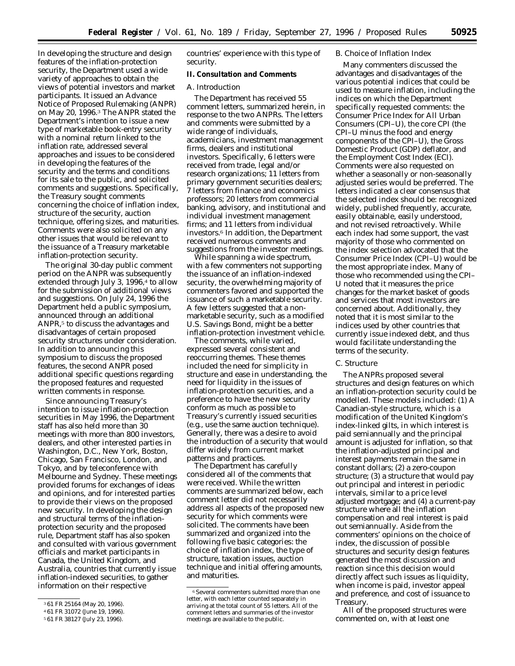In developing the structure and design features of the inflation-protection security, the Department used a wide variety of approaches to obtain the views of potential investors and market participants. It issued an Advance Notice of Proposed Rulemaking (ANPR) on May 20, 1996.3 The ANPR stated the Department's intention to issue a new type of marketable book-entry security with a nominal return linked to the inflation rate, addressed several approaches and issues to be considered in developing the features of the security and the terms and conditions for its sale to the public, and solicited comments and suggestions. Specifically, the Treasury sought comments concerning the choice of inflation index, structure of the security, auction technique, offering sizes, and maturities. Comments were also solicited on any other issues that would be relevant to the issuance of a Treasury marketable inflation-protection security.

The original 30-day public comment period on the ANPR was subsequently extended through July 3, 1996,<sup>4</sup> to allow for the submission of additional views and suggestions. On July 24, 1996 the Department held a public symposium, announced through an additional ANPR,<sup>5</sup> to discuss the advantages and disadvantages of certain proposed security structures under consideration. In addition to announcing this symposium to discuss the proposed features, the second ANPR posed additional specific questions regarding the proposed features and requested written comments in response.

Since announcing Treasury's intention to issue inflation-protection securities in May 1996, the Department staff has also held more than 30 meetings with more than 800 investors, dealers, and other interested parties in Washington, D.C., New York, Boston, Chicago, San Francisco, London, and Tokyo, and by teleconference with Melbourne and Sydney. These meetings provided forums for exchanges of ideas and opinions, and for interested parties to provide their views on the proposed new security. In developing the design and structural terms of the inflationprotection security and the proposed rule, Department staff has also spoken and consulted with various government officials and market participants in Canada, the United Kingdom, and Australia, countries that currently issue inflation-indexed securities, to gather information on their respective

countries' experience with this type of security.

## **II. Consultation and Comments**

# *A. Introduction*

The Department has received 55 comment letters, summarized herein, in response to the two ANPRs. The letters and comments were submitted by a wide range of individuals, academicians, investment management firms, dealers and institutional investors. Specifically, 6 letters were received from trade, legal and/or research organizations; 11 letters from primary government securities dealers; 7 letters from finance and economics professors; 20 letters from commercial banking, advisory, and institutional and individual investment management firms; and 11 letters from individual investors.6 In addition, the Department received numerous comments and suggestions from the investor meetings.

While spanning a wide spectrum, with a few commenters not supporting the issuance of an inflation-indexed security, the overwhelming majority of commenters favored and supported the issuance of such a marketable security. A few letters suggested that a nonmarketable security, such as a modified U.S. Savings Bond, might be a better inflation-protection investment vehicle.

The comments, while varied, expressed several consistent and reoccurring themes. These themes included the need for simplicity in structure and ease in understanding, the need for liquidity in the issues of inflation-protection securities, and a preference to have the new security conform as much as possible to Treasury's currently issued securities (e.g., use the same auction technique). Generally, there was a desire to avoid the introduction of a security that would differ widely from current market patterns and practices.

The Department has carefully considered all of the comments that were received. While the written comments are summarized below, each comment letter did not necessarily address all aspects of the proposed new security for which comments were solicited. The comments have been summarized and organized into the following five basic categories: the choice of inflation index, the type of structure, taxation issues, auction technique and initial offering amounts, and maturities.

## *B. Choice of Inflation Index*

Many commenters discussed the advantages and disadvantages of the various potential indices that could be used to measure inflation, including the indices on which the Department specifically requested comments: the Consumer Price Index for All Urban Consumers (CPI–U), the core CPI (the CPI–U minus the food and energy components of the CPI–U), the Gross Domestic Product (GDP) deflator, and the Employment Cost Index (ECI). Comments were also requested on whether a seasonally or non-seasonally adjusted series would be preferred. The letters indicated a clear consensus that the selected index should be: recognized widely, published frequently, accurate, easily obtainable, easily understood, and not revised retroactively. While each index had some support, the vast majority of those who commented on the index selection advocated that the Consumer Price Index (CPI–U) would be the most appropriate index. Many of those who recommended using the CPI– U noted that it measures the price changes for the market basket of goods and services that most investors are concerned about. Additionally, they noted that it is most similar to the indices used by other countries that currently issue indexed debt, and thus would facilitate understanding the terms of the security.

# *C. Structure*

The ANPRs proposed several structures and design features on which an inflation-protection security could be modelled. These models included: (1) A Canadian-style structure, which is a modification of the United Kingdom's index-linked gilts, in which interest is paid semiannually and the principal amount is adjusted for inflation, so that the inflation-adjusted principal and interest payments remain the same in constant dollars; (2) a zero-coupon structure; (3) a structure that would pay out principal and interest in periodic intervals, similar to a price level adjusted mortgage; and (4) a current-pay structure where all the inflation compensation and real interest is paid out semiannually. Aside from the commenters' opinions on the choice of index, the discussion of possible structures and security design features generated the most discussion and reaction since this decision would directly affect such issues as liquidity, when income is paid, investor appeal and preference, and cost of issuance to Treasury.

All of the proposed structures were commented on, with at least one

<sup>3</sup> 61 FR 25164 (May 20, 1996).

<sup>4</sup> 61 FR 31072 (June 19, 1996).

<sup>5</sup> 61 FR 38127 (July 23, 1996).

<sup>6</sup>Several commenters submitted more than one letter, with each letter counted separately in arriving at the total count of 55 letters. All of the comment letters and summaries of the investor meetings are available to the public.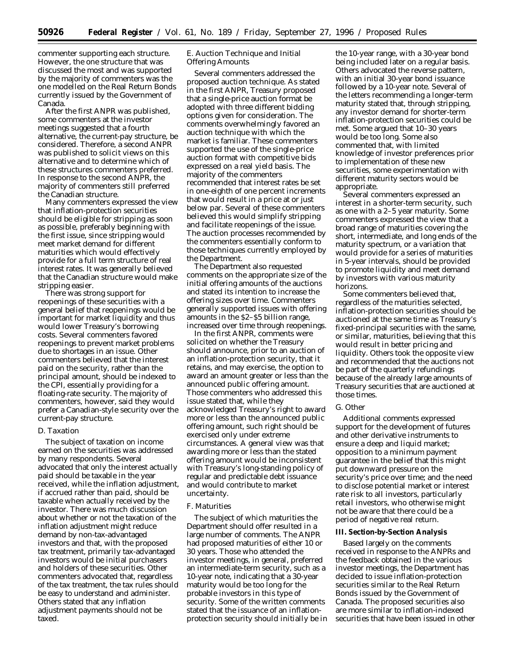commenter supporting each structure. However, the one structure that was discussed the most and was supported by the majority of commenters was the one modelled on the Real Return Bonds currently issued by the Government of Canada.

After the first ANPR was published, some commenters at the investor meetings suggested that a fourth alternative, the current-pay structure, be considered. Therefore, a second ANPR was published to solicit views on this alternative and to determine which of these structures commenters preferred. In response to the second ANPR, the majority of commenters still preferred the Canadian structure.

Many commenters expressed the view that inflation-protection securities should be eligible for stripping as soon as possible, preferably beginning with the first issue, since stripping would meet market demand for different maturities which would effectively provide for a full term structure of real interest rates. It was generally believed that the Canadian structure would make stripping easier.

There was strong support for reopenings of these securities with a general belief that reopenings would be important for market liquidity and thus would lower Treasury's borrowing costs. Several commenters favored reopenings to prevent market problems due to shortages in an issue. Other commenters believed that the interest paid on the security, rather than the principal amount, should be indexed to the CPI, essentially providing for a floating-rate security. The majority of commenters, however, said they would prefer a Canadian-style security over the current-pay structure.

#### *D. Taxation*

The subject of taxation on income earned on the securities was addressed by many respondents. Several advocated that only the interest actually paid should be taxable in the year received, while the inflation adjustment, if accrued rather than paid, should be taxable when actually received by the investor. There was much discussion about whether or not the taxation of the inflation adjustment might reduce demand by non-tax-advantaged investors and that, with the proposed tax treatment, primarily tax-advantaged investors would be initial purchasers and holders of these securities. Other commenters advocated that, regardless of the tax treatment, the tax rules should be easy to understand and administer. Others stated that any inflation adjustment payments should not be taxed.

# *E. Auction Technique and Initial Offering Amounts*

Several commenters addressed the proposed auction technique. As stated in the first ANPR, Treasury proposed that a single-price auction format be adopted with three different bidding options given for consideration. The comments overwhelmingly favored an auction technique with which the market is familiar. These commenters supported the use of the single-price auction format with competitive bids expressed on a real yield basis. The majority of the commenters recommended that interest rates be set in one-eighth of one percent increments that would result in a price at or just below par. Several of these commenters believed this would simplify stripping and facilitate reopenings of the issue. The auction processes recommended by the commenters essentially conform to those techniques currently employed by the Department.

The Department also requested comments on the appropriate size of the initial offering amounts of the auctions and stated its intention to increase the offering sizes over time. Commenters generally supported issues with offering amounts in the \$2–\$5 billion range, increased over time through reopenings.

In the first ANPR, comments were solicited on whether the Treasury should announce, prior to an auction of an inflation-protection security, that it retains, and may exercise, the option to award an amount greater or less than the announced public offering amount. Those commenters who addressed this issue stated that, while they acknowledged Treasury's right to award more or less than the announced public offering amount, such right should be exercised only under extreme circumstances. A general view was that awarding more or less than the stated offering amount would be inconsistent with Treasury's long-standing policy of regular and predictable debt issuance and would contribute to market uncertainty.

### *F. Maturities*

The subject of which maturities the Department should offer resulted in a large number of comments. The ANPR had proposed maturities of either 10 or 30 years. Those who attended the investor meetings, in general, preferred an intermediate-term security, such as a 10-year note, indicating that a 30-year maturity would be too long for the probable investors in this type of security. Some of the written comments stated that the issuance of an inflationprotection security should initially be in

the 10-year range, with a 30-year bond being included later on a regular basis. Others advocated the reverse pattern, with an initial 30-year bond issuance followed by a 10-year note. Several of the letters recommending a longer-term maturity stated that, through stripping, any investor demand for shorter-term inflation-protection securities could be met. Some argued that 10–30 years would be too long. Some also commented that, with limited knowledge of investor preferences prior to implementation of these new securities, some experimentation with different maturity sectors would be appropriate.

Several commenters expressed an interest in a shorter-term security, such as one with a 2–5 year maturity. Some commenters expressed the view that a broad range of maturities covering the short, intermediate, and long ends of the maturity spectrum, or a variation that would provide for a series of maturities in 5-year intervals, should be provided to promote liquidity and meet demand by investors with various maturity horizons.

Some commenters believed that, regardless of the maturities selected, inflation-protection securities should be auctioned at the same time as Treasury's fixed-principal securities with the same, or similar, maturities, believing that this would result in better pricing and liquidity. Others took the opposite view and recommended that the auctions not be part of the quarterly refundings because of the already large amounts of Treasury securities that are auctioned at those times.

## *G. Other*

Additional comments expressed support for the development of futures and other derivative instruments to ensure a deep and liquid market; opposition to a minimum payment guarantee in the belief that this might put downward pressure on the security's price over time; and the need to disclose potential market or interest rate risk to all investors, particularly retail investors, who otherwise might not be aware that there could be a period of negative real return.

### **III. Section-by-Section Analysis**

Based largely on the comments received in response to the ANPRs and the feedback obtained in the various investor meetings, the Department has decided to issue inflation-protection securities similar to the Real Return Bonds issued by the Government of Canada. The proposed securities also are more similar to inflation-indexed securities that have been issued in other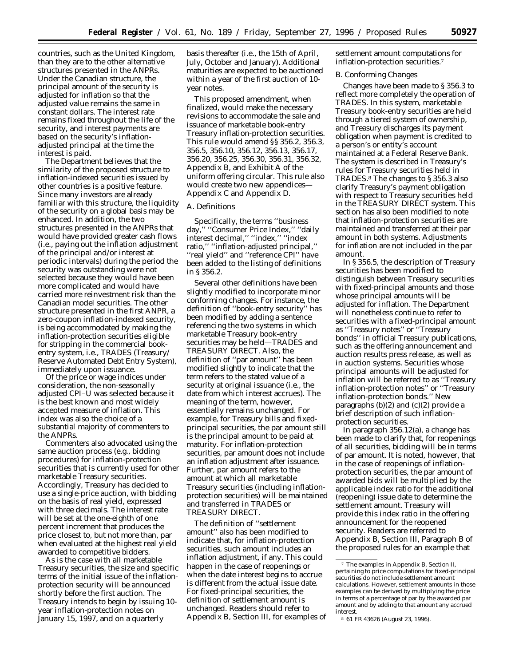countries, such as the United Kingdom, than they are to the other alternative structures presented in the ANPRs. Under the Canadian structure, the principal amount of the security is adjusted for inflation so that the adjusted value remains the same in constant dollars. The interest rate remains fixed throughout the life of the security, and interest payments are based on the security's inflationadjusted principal at the time the interest is paid.

The Department believes that the similarity of the proposed structure to inflation-indexed securities issued by other countries is a positive feature. Since many investors are already familiar with this structure, the liquidity of the security on a global basis may be enhanced. In addition, the two structures presented in the ANPRs that would have provided greater cash flows (i.e., paying out the inflation adjustment of the principal and/or interest at periodic intervals) during the period the security was outstanding were not selected because they would have been more complicated and would have carried more reinvestment risk than the Canadian model securities. The other structure presented in the first ANPR, a zero-coupon inflation-indexed security, is being accommodated by making the inflation-protection securities eligible for stripping in the commercial bookentry system, i.e., TRADES (Treasury/ Reserve Automated Debt Entry System), immediately upon issuance.

Of the price or wage indices under consideration, the non-seasonally adjusted CPI–U was selected because it is the best known and most widely accepted measure of inflation. This index was also the choice of a substantial majority of commenters to the ANPRs.

Commenters also advocated using the same auction process (e.g., bidding procedures) for inflation-protection securities that is currently used for other marketable Treasury securities. Accordingly, Treasury has decided to use a single-price auction, with bidding on the basis of real yield, expressed with three decimals. The interest rate will be set at the one-eighth of one percent increment that produces the price closest to, but not more than, par when evaluated at the highest real yield awarded to competitive bidders.

As is the case with all marketable Treasury securities, the size and specific terms of the initial issue of the inflationprotection security will be announced shortly before the first auction. The Treasury intends to begin by issuing 10 year inflation-protection notes on January 15, 1997, and on a quarterly

basis thereafter (i.e., the 15th of April, July, October and January). Additional maturities are expected to be auctioned within a year of the first auction of 10 year notes.

This proposed amendment, when finalized, would make the necessary revisions to accommodate the sale and issuance of marketable book-entry Treasury inflation-protection securities. This rule would amend §§ 356.2, 356.3, 356.5, 356.10, 356.12, 356.13, 356.17, 356.20, 356.25, 356.30, 356.31, 356.32, Appendix B, and Exhibit A of the uniform offering circular. This rule also would create two new appendices-Appendix C and Appendix D.

# *A. Definitions*

Specifically, the terms ''business day,'' ''Consumer Price Index,'' ''daily interest decimal,'' ''index,'' ''index ratio,'' ''inflation-adjusted principal,'' ''real yield'' and ''reference CPI'' have been added to the listing of definitions in § 356.2.

Several other definitions have been slightly modified to incorporate minor conforming changes. For instance, the definition of ''book-entry security'' has been modified by adding a sentence referencing the two systems in which marketable Treasury book-entry securities may be held—TRADES and TREASURY DIRECT. Also, the definition of ''par amount'' has been modified slightly to indicate that the term refers to the stated value of a security at original issuance (i.e., the date from which interest accrues). The meaning of the term, however, essentially remains unchanged. For example, for Treasury bills and fixedprincipal securities, the par amount still is the principal amount to be paid at maturity. For inflation-protection securities, par amount does not include an inflation adjustment after issuance. Further, par amount refers to the amount at which all marketable Treasury securities (including inflationprotection securities) will be maintained and transferred in TRADES or TREASURY DIRECT.

The definition of ''settlement amount'' also has been modified to indicate that, for inflation-protection securities, such amount includes an inflation adjustment, if any. This could happen in the case of reopenings or when the date interest begins to accrue is different from the actual issue date. For fixed-principal securities, the definition of settlement amount is unchanged. Readers should refer to Appendix B, Section III, for examples of settlement amount computations for inflation-protection securities.7

#### *B. Conforming Changes*

Changes have been made to § 356.3 to reflect more completely the operation of TRADES. In this system, marketable Treasury book-entry securities are held through a tiered system of ownership, and Treasury discharges its payment obligation when payment is credited to a person's or entity's account maintained at a Federal Reserve Bank. The system is described in Treasury's rules for Treasury securities held in TRADES.8 The changes to § 356.3 also clarify Treasury's payment obligation with respect to Treasury securities held in the TREASURY DIRECT system. This section has also been modified to note that inflation-protection securities are maintained and transferred at their par amount in both systems. Adjustments for inflation are not included in the par amount.

In § 356.5, the description of Treasury securities has been modified to distinguish between Treasury securities with fixed-principal amounts and those whose principal amounts will be adjusted for inflation. The Department will nonetheless continue to refer to securities with a fixed-principal amount as ''Treasury notes'' or ''Treasury bonds'' in official Treasury publications, such as the offering announcement and auction results press release, as well as in auction systems. Securities whose principal amounts will be adjusted for inflation will be referred to as ''Treasury inflation-protection notes'' or ''Treasury inflation-protection bonds.'' New paragraphs  $(b)(2)$  and  $(c)(2)$  provide a brief description of such inflationprotection securities.

In paragraph 356.12(a), a change has been made to clarify that, for reopenings of all securities, bidding will be in terms of par amount. It is noted, however, that in the case of reopenings of inflationprotection securities, the par amount of awarded bids will be multiplied by the applicable index ratio for the additional (reopening) issue date to determine the settlement amount. Treasury will provide this index ratio in the offering announcement for the reopened security. Readers are referred to Appendix B, Section III, Paragraph B of the proposed rules for an example that

<sup>7</sup> The examples in Appendix B, Section II, pertaining to price computations for fixed-principal securities do not include settlement amount calculations. However, settlement amounts in those examples can be derived by multiplying the price in terms of a percentage of par by the awarded par amount and by adding to that amount any accrued interest.

<sup>8</sup> 61 FR 43626 (August 23, 1996).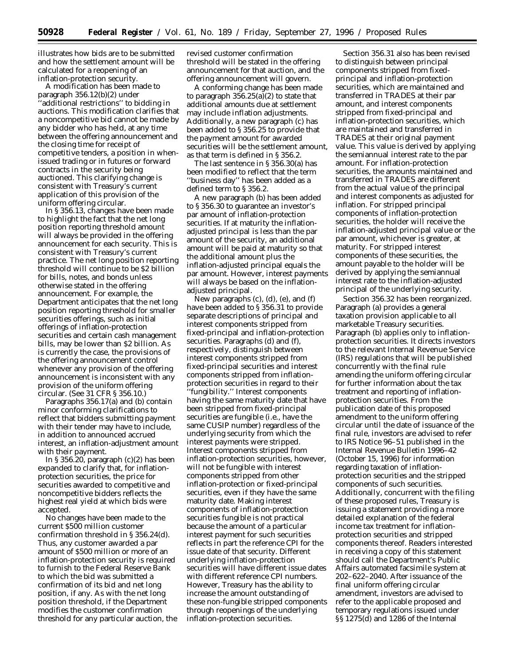illustrates how bids are to be submitted and how the settlement amount will be calculated for a reopening of an inflation-protection security.

A modification has been made to paragraph 356.12(b)(2) under 'additional restrictions'' to bidding in auctions. This modification clarifies that a noncompetitive bid cannot be made by any bidder who has held, at any time between the offering announcement and the closing time for receipt of competitive tenders, a position in whenissued trading or in futures or forward contracts in the security being auctioned. This clarifying change is consistent with Treasury's current application of this provision of the uniform offering circular.

In § 356.13, changes have been made to highlight the fact that the net long position reporting threshold amount will always be provided in the offering announcement for each security. This is consistent with Treasury's current practice. The net long position reporting threshold will continue to be \$2 billion for bills, notes, and bonds unless otherwise stated in the offering announcement. For example, the Department anticipates that the net long position reporting threshold for smaller securities offerings, such as initial offerings of inflation-protection securities and certain cash management bills, may be lower than \$2 billion. As is currently the case, the provisions of the offering announcement control whenever any provision of the offering announcement is inconsistent with any provision of the uniform offering circular. (See 31 CFR § 356.10.)

Paragraphs 356.17(a) and (b) contain minor conforming clarifications to reflect that bidders submitting payment with their tender may have to include, in addition to announced accrued interest, an inflation-adjustment amount with their payment.

In § 356.20, paragraph  $(c)(2)$  has been expanded to clarify that, for inflationprotection securities, the price for securities awarded to competitive and noncompetitive bidders reflects the highest real yield at which bids were accepted.

No changes have been made to the current \$500 million customer confirmation threshold in § 356.24(d). Thus, any customer awarded a par amount of \$500 million or more of an inflation-protection security is required to furnish to the Federal Reserve Bank to which the bid was submitted a confirmation of its bid and net long position, if any. As with the net long position threshold, if the Department modifies the customer confirmation threshold for any particular auction, the revised customer confirmation threshold will be stated in the offering announcement for that auction, and the offering announcement will govern.

A conforming change has been made to paragraph  $356.25(a)(2)$  to state that additional amounts due at settlement may include inflation adjustments. Additionally, a new paragraph (c) has been added to § 356.25 to provide that the payment amount for awarded securities will be the settlement amount, as that term is defined in § 356.2.

The last sentence in § 356.30(a) has been modified to reflect that the term ''business day'' has been added as a defined term to § 356.2.

A new paragraph (b) has been added to § 356.30 to guarantee an investor's par amount of inflation-protection securities. If at maturity the inflationadjusted principal is less than the par amount of the security, an additional amount will be paid at maturity so that the additional amount plus the inflation-adjusted principal equals the par amount. However, interest payments will always be based on the inflationadjusted principal.

New paragraphs (c), (d), (e), and (f) have been added to § 356.31 to provide separate descriptions of principal and interest components stripped from fixed-principal and inflation-protection securities. Paragraphs (d) and (f), respectively, distinguish between interest components stripped from fixed-principal securities and interest components stripped from inflationprotection securities in regard to their ''fungibility.'' Interest components having the same maturity date that have been stripped from fixed-principal securities are fungible (i.e., have the same CUSIP number) regardless of the underlying security from which the interest payments were stripped. Interest components stripped from inflation-protection securities, however, will not be fungible with interest components stripped from other inflation-protection or fixed-principal securities, even if they have the same maturity date. Making interest components of inflation-protection securities fungible is not practical because the amount of a particular interest payment for such securities reflects in part the reference CPI for the issue date of that security. Different underlying inflation-protection securities will have different issue dates with different reference CPI numbers. However, Treasury has the ability to increase the amount outstanding of these non-fungible stripped components through reopenings of the underlying inflation-protection securities.

Section 356.31 also has been revised to distinguish between principal components stripped from fixedprincipal and inflation-protection securities, which are maintained and transferred in TRADES at their par amount, and interest components stripped from fixed-principal and inflation-protection securities, which are maintained and transferred in TRADES at their original payment value. This value is derived by applying the semiannual interest rate to the par amount. For inflation-protection securities, the amounts maintained and transferred in TRADES are different from the actual value of the principal and interest components as adjusted for inflation. For stripped principal components of inflation-protection securities, the holder will receive the inflation-adjusted principal value or the par amount, whichever is greater, at maturity. For stripped interest components of these securities, the amount payable to the holder will be derived by applying the semiannual interest rate to the inflation-adjusted principal of the underlying security.

Section 356.32 has been reorganized. Paragraph (a) provides a general taxation provision applicable to all marketable Treasury securities. Paragraph (b) applies only to inflationprotection securities. It directs investors to the relevant Internal Revenue Service (IRS) regulations that will be published concurrently with the final rule amending the uniform offering circular for further information about the tax treatment and reporting of inflationprotection securities. From the publication date of this proposed amendment to the uniform offering circular until the date of issuance of the final rule, investors are advised to refer to IRS Notice 96–51 published in the Internal Revenue Bulletin 1996–42 (October 15, 1996) for information regarding taxation of inflationprotection securities and the stripped components of such securities. Additionally, concurrent with the filing of these proposed rules, Treasury is issuing a statement providing a more detailed explanation of the federal income tax treatment for inflationprotection securities and stripped components thereof. Readers interested in receiving a copy of this statement should call the Department's Public Affairs automated facsimile system at 202–622–2040. After issuance of the final uniform offering circular amendment, investors are advised to refer to the applicable proposed and temporary regulations issued under §§ 1275(d) and 1286 of the Internal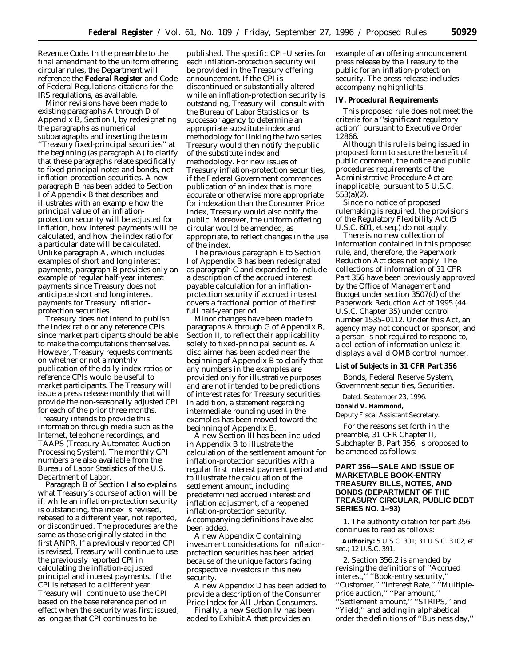Revenue Code. In the preamble to the final amendment to the uniform offering circular rules, the Department will reference the **Federal Register** and Code of Federal Regulations citations for the IRS regulations, as available.

Minor revisions have been made to existing paragraphs A through D of Appendix B, Section I, by redesignating the paragraphs as numerical subparagraphs and inserting the term ''Treasury fixed-principal securities'' at the beginning (as paragraph A) to clarify that these paragraphs relate specifically to fixed-principal notes and bonds, not inflation-protection securities. A new paragraph B has been added to Section I of Appendix B that describes and illustrates with an example how the principal value of an inflationprotection security will be adjusted for inflation, how interest payments will be calculated, and how the index ratio for a particular date will be calculated. Unlike paragraph A, which includes examples of short and long interest payments, paragraph B provides only an example of regular half-year interest payments since Treasury does not anticipate short and long interest payments for Treasury inflationprotection securities.

Treasury does not intend to publish the index ratio or any reference CPIs since market participants should be able to make the computations themselves. However, Treasury requests comments on whether or not a monthly publication of the daily index ratios or reference CPIs would be useful to market participants. The Treasury will issue a press release monthly that will provide the non-seasonally adjusted CPI for each of the prior three months. Treasury intends to provide this information through media such as the Internet, telephone recordings, and TAAPS (Treasury Automated Auction Processing System). The monthly CPI numbers are also available from the Bureau of Labor Statistics of the U.S. Department of Labor.

Paragraph B of Section I also explains what Treasury's course of action will be if, while an inflation-protection security is outstanding, the index is revised, rebased to a different year, not reported, or discontinued. The procedures are the same as those originally stated in the first ANPR. If a previously reported CPI is revised, Treasury will continue to use the previously reported CPI in calculating the inflation-adjusted principal and interest payments. If the CPI is rebased to a different year, Treasury will continue to use the CPI based on the base reference period in effect when the security was first issued, as long as that CPI continues to be

published. The specific CPI–U series for each inflation-protection security will be provided in the Treasury offering announcement. If the CPI is discontinued or substantially altered while an inflation-protection security is outstanding, Treasury will consult with the Bureau of Labor Statistics or its successor agency to determine an appropriate substitute index and methodology for linking the two series. Treasury would then notify the public of the substitute index and methodology. For new issues of Treasury inflation-protection securities, if the Federal Government commences publication of an index that is more accurate or otherwise more appropriate for indexation than the Consumer Price Index, Treasury would also notify the public. Moreover, the uniform offering circular would be amended, as appropriate, to reflect changes in the use of the index.

The previous paragraph E to Section I of Appendix B has been redesignated as paragraph C and expanded to include a description of the accrued interest payable calculation for an inflationprotection security if accrued interest covers a fractional portion of the first full half-year period.

Minor changes have been made to paragraphs A through G of Appendix B, Section II, to reflect their applicability solely to fixed-principal securities. A disclaimer has been added near the beginning of Appendix B to clarify that any numbers in the examples are provided only for illustrative purposes and are not intended to be predictions of interest rates for Treasury securities. In addition, a statement regarding intermediate rounding used in the examples has been moved toward the beginning of Appendix B.

A new Section III has been included in Appendix B to illustrate the calculation of the settlement amount for inflation-protection securities with a regular first interest payment period and to illustrate the calculation of the settlement amount, including predetermined accrued interest and inflation adjustment, of a reopened inflation-protection security. Accompanying definitions have also been added.

A new Appendix C containing investment considerations for inflationprotection securities has been added because of the unique factors facing prospective investors in this new security.

A new Appendix D has been added to provide a description of the Consumer Price Index for All Urban Consumers.

Finally, a new Section IV has been added to Exhibit A that provides an

example of an offering announcement press release by the Treasury to the public for an inflation-protection security. The press release includes accompanying highlights.

### **IV. Procedural Requirements**

This proposed rule does not meet the criteria for a ''significant regulatory action'' pursuant to Executive Order 12866.

Although this rule is being issued in proposed form to secure the benefit of public comment, the notice and public procedures requirements of the Administrative Procedure Act are inapplicable, pursuant to 5 U.S.C. 553(a)(2).

Since no notice of proposed rulemaking is required, the provisions of the Regulatory Flexibility Act (5 U.S.C. 601, *et seq.*) do not apply.

There is no new collection of information contained in this proposed rule, and, therefore, the Paperwork Reduction Act does not apply. The collections of information of 31 CFR Part 356 have been previously approved by the Office of Management and Budget under section 3507(d) of the Paperwork Reduction Act of 1995 (44 U.S.C. Chapter 35) under control number 1535–0112. Under this Act, an agency may not conduct or sponsor, and a person is not required to respond to, a collection of information unless it displays a valid OMB control number.

**List of Subjects in 31 CFR Part 356**

Bonds, Federal Reserve System, Government securities, Securities.

Dated: September 23, 1996.

**Donald V. Hammond,**

*Deputy Fiscal Assistant Secretary.*

For the reasons set forth in the preamble, 31 CFR Chapter II, Subchapter B, Part 356, is proposed to be amended as follows:

# **PART 356—SALE AND ISSUE OF MARKETABLE BOOK-ENTRY TREASURY BILLS, NOTES, AND BONDS (DEPARTMENT OF THE TREASURY CIRCULAR, PUBLIC DEBT SERIES NO. 1–93)**

1. The authority citation for part 356 continues to read as follows:

**Authority:** 5 U.S.C. 301; 31 U.S.C. 3102, *et seq.*; 12 U.S.C. 391.

2. Section 356.2 is amended by revising the definitions of ''Accrued interest,'' ''Book-entry security,'' ''Customer,'' ''Interest Rate,'' ''Multipleprice auction,'' ''Par amount,'' ''Settlement amount,'' ''STRIPS,'' and ''Yield;'' and adding in alphabetical order the definitions of ''Business day,''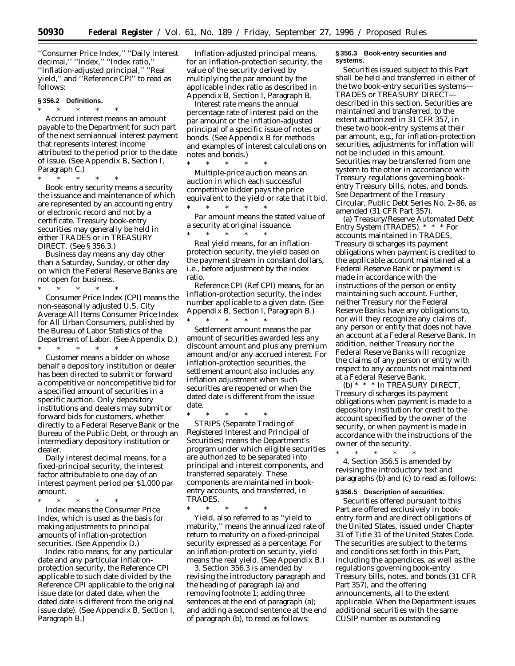\* \* \* \* \*

''Consumer Price Index,'' ''Daily interest decimal,'' ''Index,'' ''Index ratio,'' ''Inflation-adjusted principal,'' ''Real yield,'' and ''Reference CPI'' to read as follows:

## **§ 356.2 Definitions.**

## \* \* \* \* \*

*Accrued interest* means an amount payable to the Department for such part of the next semiannual interest payment that represents interest income attributed to the period prior to the date of issue. (See Appendix B, Section I, Paragraph C.)

\* \* \* \* \* *Book-entry security* means a security the issuance and maintenance of which are represented by an accounting entry or electronic record and not by a certificate. Treasury book-entry securities may generally be held in either TRADES or in TREASURY

DIRECT. (See § 356.3.) *Business day* means any day other than a Saturday, Sunday, or other day on which the Federal Reserve Banks are not open for business.

\* \* \* \* \* *Consumer Price Index* (CPI) means the non-seasonally adjusted *U.S. City Average All Items Consumer Price Index for All Urban Consumers,* published by the Bureau of Labor Statistics of the Department of Labor. (See Appendix D.) \* \* \* \* \*

*Customer* means a bidder on whose behalf a depository institution or dealer has been directed to submit or forward a competitive or noncompetitive bid for a specified amount of securities in a specific auction. Only depository institutions and dealers may submit or forward bids for customers, whether directly to a Federal Reserve Bank or the Bureau of the Public Debt, or through an intermediary depository institution or dealer.

*Daily interest decimal* means, for a fixed-principal security, the interest factor attributable to one day of an interest payment period per \$1,000 par amount.

\* \* \* \* \* *Index* means the Consumer Price Index, which is used as the basis for making adjustments to principal amounts of inflation-protection securities. (See Appendix D.)

*Index ratio* means, for any particular date and any particular inflationprotection security, the Reference CPI applicable to such date divided by the Reference CPI applicable to the original issue date (or dated date, when the dated date is different from the original issue date). (See Appendix B, Section I, Paragraph B.)

*Inflation-adjusted principal* means, for an inflation-protection security, the value of the security derived by multiplying the par amount by the applicable index ratio as described in Appendix B, Section I, Paragraph B.

*Interest rate* means the annual percentage rate of interest paid on the par amount or the inflation-adjusted principal of a specific issue of notes or bonds. (See Appendix B for methods and examples of interest calculations on notes and bonds.)

*Multiple-price auction* means an auction in which each successful competitive bidder pays the price equivalent to the yield or rate that it bid. \* \* \* \* \*

*Par amount* means the stated value of a security at original issuance. \* \* \* \* \*

*Real yield* means, for an inflationprotection security, the yield based on the payment stream in constant dollars, i.e., before adjustment by the index ratio.

*Reference CPI* (Ref CPI) means, for an inflation-protection security, the index number applicable to a given date. (See Appendix B, Section I, Paragraph B.) \* \* \* \* \*

*Settlement amount* means the par amount of securities awarded less any discount amount and plus any premium amount and/or any accrued interest. For inflation-protection securities, the settlement amount also includes any inflation adjustment when such securities are reopened or when the dated date is different from the issue date.

\* \* \* \* \* *STRIPS* (Separate Trading of Registered Interest and Principal of Securities) means the Department's program under which eligible securities are authorized to be separated into principal and interest components, and transferred separately. These components are maintained in bookentry accounts, and transferred, in TRADES.

\* \* \* \* \* *Yield,* also referred to as ''yield to maturity,'' means the annualized rate of return to maturity on a fixed-principal security expressed as a percentage. For an inflation-protection security, yield means the real yield. (See Appendix B.)

3. Section 356.3 is amended by revising the introductory paragraph and the heading of paragraph (a) and removing footnote 1; adding three sentences at the end of paragraph (a); and adding a second sentence at the end of paragraph (b), to read as follows:

#### **§ 356.3 Book-entry securities and systems.**

Securities issued subject to this Part shall be held and transferred in either of the two book-entry securities systems-TRADES or TREASURY DIRECT described in this section. Securities are maintained and transferred, to the extent authorized in 31 CFR 357, in these two book-entry systems at their par amount, e.g., for inflation-protection securities, adjustments for inflation will not be included in this amount. Securities may be transferred from one system to the other in accordance with Treasury regulations governing bookentry Treasury bills, notes, and bonds. See Department of the Treasury Circular, Public Debt Series No. 2–86, as amended (31 CFR Part 357).

(a) *Treasury/Reserve Automated Debt Entry System (TRADES).* \* \* \* For accounts maintained in TRADES, Treasury discharges its payment obligations when payment is credited to the applicable account maintained at a Federal Reserve Bank or payment is made in accordance with the instructions of the person or entity maintaining such account. Further, neither Treasury nor the Federal Reserve Banks have any obligations to, nor will they recognize any claims of, any person or entity that does not have an account at a Federal Reserve Bank. In addition, neither Treasury nor the Federal Reserve Banks will recognize the claims of any person or entity with respect to any accounts not maintained at a Federal Reserve Bank.

(b) \* \* \* In TREASURY DIRECT, Treasury discharges its payment obligations when payment is made to a depository institution for credit to the account specified by the owner of the security, or when payment is made in accordance with the instructions of the owner of the security.

\* \* \* \* \* 4. Section 356.5 is amended by revising the introductory text and paragraphs (b) and (c) to read as follows:

#### **§ 356.5 Description of securities.**

Securities offered pursuant to this Part are offered exclusively in bookentry form and are direct obligations of the United States, issued under Chapter 31 of Title 31 of the United States Code. The securities are subject to the terms and conditions set forth in this Part, including the appendices, as well as the regulations governing book-entry Treasury bills, notes, and bonds (31 CFR Part 357), and the offering announcements, all to the extent applicable. When the Department issues additional securities with the same CUSIP number as outstanding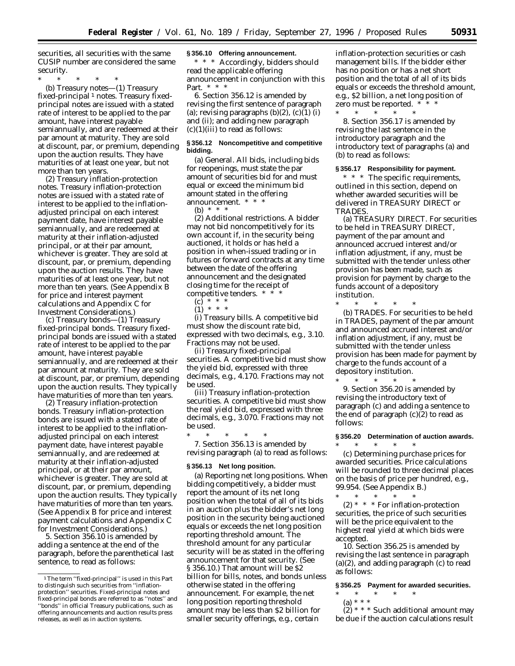securities, all securities with the same CUSIP number are considered the same security.

\* \* \* \* \*

(b) *Treasury notes*—(1) *Treasury fixed-principal* 1 *notes.* Treasury fixedprincipal notes are issued with a stated rate of interest to be applied to the par amount, have interest payable semiannually, and are redeemed at their par amount at maturity. They are sold at discount, par, or premium, depending upon the auction results. They have maturities of at least one year, but not more than ten years.

(2) *Treasury inflation-protection notes.* Treasury inflation-protection notes are issued with a stated rate of interest to be applied to the inflationadjusted principal on each interest payment date, have interest payable semiannually, and are redeemed at maturity at their inflation-adjusted principal, or at their par amount, whichever is greater. They are sold at discount, par, or premium, depending upon the auction results. They have maturities of at least one year, but not more than ten years. (See Appendix B for price and interest payment calculations and Appendix C for Investment Considerations.)

(c) *Treasury bonds*—(1) *Treasury fixed-principal bonds.* Treasury fixedprincipal bonds are issued with a stated rate of interest to be applied to the par amount, have interest payable semiannually, and are redeemed at their par amount at maturity. They are sold at discount, par, or premium, depending upon the auction results. They typically have maturities of more than ten years.

(2) *Treasury inflation-protection bonds.* Treasury inflation-protection bonds are issued with a stated rate of interest to be applied to the inflationadjusted principal on each interest payment date, have interest payable semiannually, and are redeemed at maturity at their inflation-adjusted principal, or at their par amount, whichever is greater. They are sold at discount, par, or premium, depending upon the auction results. They typically have maturities of more than ten years. (See Appendix B for price and interest payment calculations and Appendix C for Investment Considerations.)

5. Section 356.10 is amended by adding a sentence at the end of the paragraph, before the parenthetical last sentence, to read as follows:

#### **§ 356.10 Offering announcement.**

\* \* \* Accordingly, bidders should read the applicable offering announcement in conjunction with this Part. \* \* \*

6. Section 356.12 is amended by revising the first sentence of paragraph (a); revising paragraphs  $(b)(2)$ ,  $(c)(1)$  (i) and (ii); and adding new paragraph  $(c)(1)(iii)$  to read as follows:

### **§ 356.12 Noncompetitive and competitive bidding.**

(a) *General.* All bids, including bids for reopenings, must state the par amount of securities bid for and must equal or exceed the minimum bid amount stated in the offering announcement. \* \* \*

(b)  $*$ 

(2) *Additional restrictions.* A bidder may not bid noncompetitively for its own account if, in the security being auctioned, it holds or has held a position in when-issued trading or in futures or forward contracts at any time between the date of the offering announcement and the designated closing time for the receipt of competitive tenders. \* \* \*

- (c) \* \* \*
- (1) \* \* \*

(i) *Treasury bills.* A competitive bid must show the discount rate bid, expressed with two decimals, e.g., 3.10. Fractions may not be used.

(ii) *Treasury fixed-principal securities.* A competitive bid must show the yield bid, expressed with three decimals, e.g., 4.170. Fractions may not be used.

(iii) *Treasury inflation-protection securities.* A competitive bid must show the real yield bid, expressed with three decimals, e.g., 3.070. Fractions may not be used.

\* \* \* \* \* 7. Section 356.13 is amended by revising paragraph (a) to read as follows:

### **§ 356.13 Net long position.**

(a) *Reporting net long positions.* When bidding competitively, a bidder must report the amount of its net long position when the total of all of its bids in an auction plus the bidder's net long position in the security being auctioned equals or exceeds the net long position reporting threshold amount. The threshold amount for any particular security will be as stated in the offering announcement for that security. (See § 356.10.) That amount will be \$2 billion for bills, notes, and bonds unless otherwise stated in the offering announcement. For example, the net long position reporting threshold amount may be less than \$2 billion for smaller security offerings, e.g., certain

inflation-protection securities or cash management bills. If the bidder either has no position or has a net short position and the total of all of its bids equals or exceeds the threshold amount, e.g., \$2 billion, a net long position of zero must be reported. \*

\* \* \* \* \* 8. Section 356.17 is amended by revising the last sentence in the introductory paragraph and the introductory text of paragraphs (a) and (b) to read as follows:

#### **§ 356.17 Responsibility for payment.**

\* \* \* The specific requirements, outlined in this section, depend on whether awarded securities will be delivered in TREASURY DIRECT or TRADES.

(a) *TREASURY DIRECT.* For securities to be held in TREASURY DIRECT, payment of the par amount and announced accrued interest and/or inflation adjustment, if any, must be submitted with the tender unless other provision has been made, such as provision for payment by charge to the funds account of a depository institution.

\* \* \* \* \* (b) *TRADES.* For securities to be held in TRADES, payment of the par amount and announced accrued interest and/or inflation adjustment, if any, must be submitted with the tender unless provision has been made for payment by charge to the funds account of a depository institution.

\* \* \* \* \* 9. Section 356.20 is amended by revising the introductory text of paragraph (c) and adding a sentence to the end of paragraph  $(c)(2)$  to read as follows:

### **§ 356.20 Determination of auction awards.**

\* \* \* \* \* (c) *Determining purchase prices for awarded securities.* Price calculations will be rounded to three decimal places on the basis of price per hundred, e.g., 99.954. (See Appendix B.)

\* \* \* \* \* (2) \* \* \* For inflation-protection securities, the price of such securities will be the price equivalent to the highest real yield at which bids were accepted.

10. Section 356.25 is amended by revising the last sentence in paragraph (a)(2), and adding paragraph (c) to read as follows:

#### **§ 356.25 Payment for awarded securities.**

\* \* \* \* \*

(a) \* \* \*  $(2)$  \* \* \* Such additional amount may be due if the auction calculations result

<sup>1</sup>The term ''fixed-principal'' is used in this Part to distinguish such securities from ''inflationprotection'' securities. Fixed-principal notes and fixed-principal bonds are referred to as ''notes'' and ''bonds'' in official Treasury publications, such as offering announcements and auction results press releases, as well as in auction systems.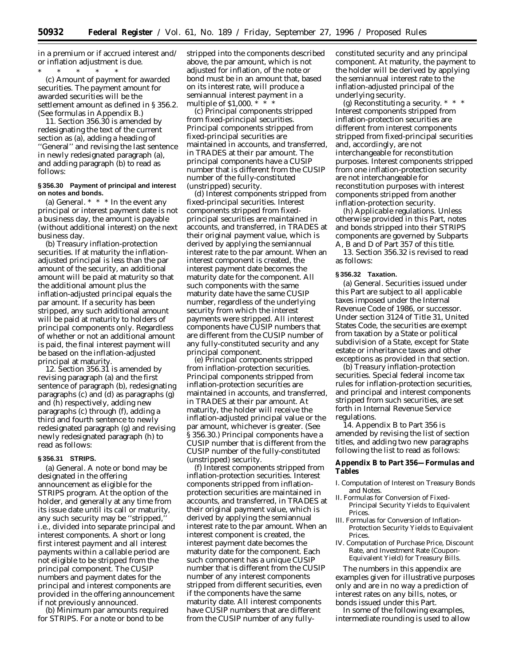in a premium or if accrued interest and/ or inflation adjustment is due.

\* \* \* \* \* (c) *Amount of payment for awarded securities.* The payment amount for awarded securities will be the settlement amount as defined in § 356.2. (See formulas in Appendix B.)

11. Section 356.30 is amended by redesignating the text of the current section as (a), adding a heading of ''General'' and revising the last sentence in newly redesignated paragraph (a), and adding paragraph (b) to read as follows:

### **§ 356.30 Payment of principal and interest on notes and bonds.**

(a) *General.* \* \* \* In the event any principal or interest payment date is not a business day, the amount is payable (without additional interest) on the next business day.

(b) *Treasury inflation-protection securities.* If at maturity the inflationadjusted principal is less than the par amount of the security, an additional amount will be paid at maturity so that the additional amount plus the inflation-adjusted principal equals the par amount. If a security has been stripped, any such additional amount will be paid at maturity to holders of principal components only. Regardless of whether or not an additional amount is paid, the final interest payment will be based on the inflation-adjusted principal at maturity.

12. Section 356.31 is amended by revising paragraph (a) and the first sentence of paragraph (b), redesignating paragraphs (c) and (d) as paragraphs (g) and (h) respectively, adding new paragraphs (c) through (f), adding a third and fourth sentence to newly redesignated paragraph (g) and revising newly redesignated paragraph (h) to read as follows:

### **§ 356.31 STRIPS.**

(a) *General.* A note or bond may be designated in the offering announcement as eligible for the STRIPS program. At the option of the holder, and generally at any time from its issue date until its call or maturity, any such security may be "stripped, i.e., divided into separate principal and interest components. A short or long first interest payment and all interest payments within a callable period are not eligible to be stripped from the principal component. The CUSIP numbers and payment dates for the principal and interest components are provided in the offering announcement if not previously announced.

(b) *Minimum par amounts required for STRIPS.* For a note or bond to be

stripped into the components described above, the par amount, which is not adjusted for inflation, of the note or bond must be in an amount that, based on its interest rate, will produce a semiannual interest payment in a multiple of \$1,000. \* \* \*

(c) *Principal components stripped from fixed-principal securities.* Principal components stripped from fixed-principal securities are maintained in accounts, and transferred, in TRADES at their par amount. The principal components have a CUSIP number that is different from the CUSIP number of the fully-constituted (unstripped) security.

(d) *Interest components stripped from fixed-principal securities.* Interest components stripped from fixedprincipal securities are maintained in accounts, and transferred, in TRADES at their original payment value, which is derived by applying the semiannual interest rate to the par amount. When an interest component is created, the interest payment date becomes the maturity date for the component. All such components with the same maturity date have the same CUSIP number, regardless of the underlying security from which the interest payments were stripped. All interest components have CUSIP numbers that are different from the CUSIP number of any fully-constituted security and any principal component.

(e) *Principal components stripped from inflation-protection securities.* Principal components stripped from inflation-protection securities are maintained in accounts, and transferred, in TRADES at their par amount. At maturity, the holder will receive the inflation-adjusted principal value or the par amount, whichever is greater. (See § 356.30.) Principal components have a CUSIP number that is different from the CUSIP number of the fully-constituted (unstripped) security.

(f) *Interest components stripped from inflation-protection securities.* Interest components stripped from inflationprotection securities are maintained in accounts, and transferred, in TRADES at their original payment value, which is derived by applying the semiannual interest rate to the par amount. When an interest component is created, the interest payment date becomes the maturity date for the component. Each such component has a unique CUSIP number that is different from the CUSIP number of any interest components stripped from different securities, even if the components have the same maturity date. All interest components have CUSIP numbers that are different from the CUSIP number of any fullyconstituted security and any principal component. At maturity, the payment to the holder will be derived by applying the semiannual interest rate to the inflation-adjusted principal of the underlying security.

(g) *Reconstituting a security.* \* \* \* Interest components stripped from inflation-protection securities are different from interest components stripped from fixed-principal securities and, accordingly, are not interchangeable for reconstitution purposes. Interest components stripped from one inflation-protection security are not interchangeable for reconstitution purposes with interest components stripped from another inflation-protection security.

(h) *Applicable regulations.* Unless otherwise provided in this Part, notes and bonds stripped into their STRIPS components are governed by Subparts A, B and D of Part 357 of this title.

13. Section 356.32 is revised to read as follows:

#### **§ 356.32 Taxation.**

(a) *General.* Securities issued under this Part are subject to all applicable taxes imposed under the Internal Revenue Code of 1986, or successor. Under section 3124 of Title 31, United States Code, the securities are exempt from taxation by a State or political subdivision of a State, except for State estate or inheritance taxes and other exceptions as provided in that section.

(b) *Treasury inflation-protection securities.* Special federal income tax rules for inflation-protection securities, and principal and interest components stripped from such securities, are set forth in Internal Revenue Service regulations.

14. Appendix B to Part 356 is amended by revising the list of section titles, and adding two new paragraphs following the list to read as follows:

**Appendix B to Part 356—Formulas and Tables**

- I. Computation of Interest on Treasury Bonds and Notes.
- II. Formulas for Conversion of Fixed-Principal Security Yields to Equivalent Prices.
- III. Formulas for Conversion of Inflation-Protection Security Yields to Equivalent Prices.
- IV. Computation of Purchase Price, Discount Rate, and Investment Rate (Coupon-Equivalent Yield) for Treasury Bills.

The numbers in this appendix are examples given for illustrative purposes only and are in no way a prediction of interest rates on any bills, notes, or bonds issued under this Part.

In some of the following examples, intermediate rounding is used to allow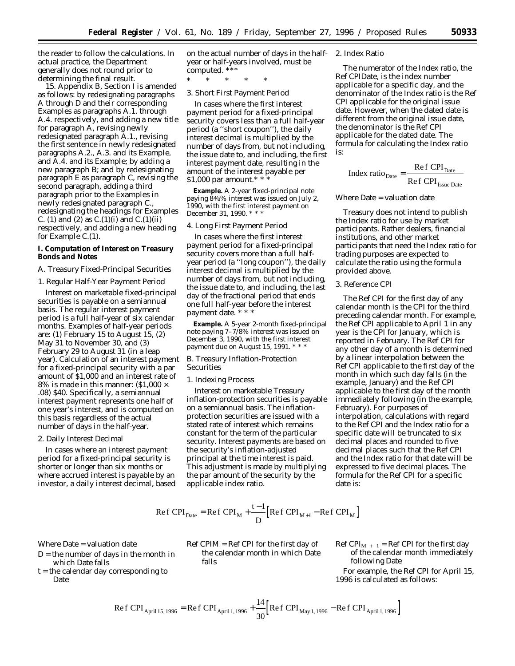the reader to follow the calculations. In actual practice, the Department generally does not round prior to determining the final result.

15. Appendix B, Section I is amended as follows: by redesignating paragraphs A through D and their corresponding Examples as paragraphs A.1. through A.4. respectively, and adding a new title for paragraph A, revising newly redesignated paragraph A.1., revising the first sentence in newly redesignated paragraphs A.2., A.3. and its Example, and A.4. and its Example; by adding a new paragraph B; and by redesignating paragraph E as paragraph C, revising the second paragraph, adding a third paragraph prior to the Examples in newly redesignated paragraph C., redesignating the headings for Examples C. (1) and (2) as  $C.(1)(i)$  and  $C.(1)(ii)$ respectively, and adding a new heading for Example C.(1).

**I. Computation of Interest on Treasury Bonds and Notes**

### *A. Treasury Fixed-Principal Securities*

1. Regular Half-Year Payment Period

Interest on marketable fixed-principal securities is payable on a semiannual basis. The regular interest payment period is a full half-year of six calendar months. Examples of half-year periods are: (1) February 15 to August 15, (2) May 31 to November 30, and (3) February 29 to August 31 (in a leap year). Calculation of an interest payment for a fixed-principal security with a par amount of \$1,000 and an interest rate of 8% is made in this manner:  $(1,000 \times$ .08) \$40. Specifically, a semiannual interest payment represents one half of one year's interest, and is computed on this basis regardless of the actual number of days in the half-year.

### 2. Daily Interest Decimal

In cases where an interest payment period for a fixed-principal security is shorter or longer than six months or where accrued interest is payable by an investor, a daily interest decimal, based on the actual number of days in the halfyear or half-years involved, must be computed. \*\*\*

\* \* \* \* \*

### 3. Short First Payment Period

In cases where the first interest payment period for a fixed-principal security covers less than a full half-year period (a ''short coupon''), the daily interest decimal is multiplied by the number of days from, but not including, the issue date to, and including, the first interest payment date, resulting in the amount of the interest payable per \$1,000 par amount.\*  $*$ 

**Example.** A 2-year fixed-principal note paying 83⁄8% interest was issued on July 2, 1990, with the first interest payment on December 31, 1990. \* \* \*

### 4. Long First Payment Period

In cases where the first interest payment period for a fixed-principal security covers more than a full halfyear period (a ''long coupon''), the daily interest decimal is multiplied by the number of days from, but not including, the issue date to, and including, the last day of the fractional period that ends one full half-year before the interest payment date. \* \* \*

**Example.** A 5-year 2-month fixed-principal note paying 7–7/8% interest was issued on December 3, 1990, with the first interest payment due on August 15, 1991. \* \* \*

## *B. Treasury Inflation-Protection Securities*

### 1. Indexing Process

Interest on marketable Treasury inflation-protection securities is payable on a semiannual basis. The inflationprotection securities are issued with a stated rate of interest which remains constant for the term of the particular security. Interest payments are based on the security's inflation-adjusted principal at the time interest is paid. This adjustment is made by multiplying the par amount of the security by the applicable index ratio.

### Re f CPI<sub>Date</sub> = Re f CPI<sub>M</sub> +  $\frac{t-1}{t}$  Re f CPI<sub>M+1</sub> – Re  $_{\text{Date}}$  = Re f CPI<sub>M</sub> +  $\frac{t-1}{D}$  [Re f CPI<sub>M+1</sub> – Re f CPI<sub>M</sub>] 1

Where Date = valuation date

- $D =$  the number of days in the month in which Date falls
- t = the calendar day corresponding to Date

Ref CPIM = Ref CPI for the first day of the calendar month in which Date falls

# 2. Index Ratio

The numerator of the Index ratio, the Ref CPIDate, is the index number applicable for a specific day, and the denominator of the Index ratio is the Ref CPI applicable for the original issue date. However, when the dated date is different from the original issue date, the denominator is the Ref CPI applicable for the dated date. The formula for calculating the Index ratio is:

$$
Index ratio_{Date} = \frac{Ref CPI_{Date}}{Ref CPI_{I_{S sue Date}}}
$$

Where Date = valuation date

Treasury does not intend to publish the Index ratio for use by market participants. Rather dealers, financial institutions, and other market participants that need the Index ratio for trading purposes are expected to calculate the ratio using the formula provided above.

### 3. Reference CPI

The Ref CPI for the first day of any calendar month is the CPI for the third preceding calendar month. For example, the Ref CPI applicable to April 1 in any year is the CPI for January, which is reported in February. The Ref CPI for any other day of a month is determined by a linear interpolation between the Ref CPI applicable to the first day of the month in which such day falls (in the example, January) and the Ref CPI applicable to the first day of the month immediately following (in the example, February). For purposes of interpolation, calculations with regard to the Ref CPI and the Index ratio for a specific date will be truncated to six decimal places and rounded to five decimal places such that the Ref CPI and the Index ratio for that date will be expressed to five decimal places. The formula for the Ref CPI for a specific date is:

Ref CPI<sub>M + 1</sub> = Ref CPI for the first day of the calendar month immediately following Date

For example, the Ref CPI for April 15, 1996 is calculated as follows:

$$
\text{Re}\,f\,\text{CPI}_{\text{April 15,1996}} = \text{Re}\,f\,\text{CPI}_{\text{April 1,1996}} + \frac{14}{30} \Big[ \text{Re}\,f\,\text{CPI}_{\text{May 1,1996}} - \text{Re}\,f\,\text{CPI}_{\text{April 1,1996}} \Big]
$$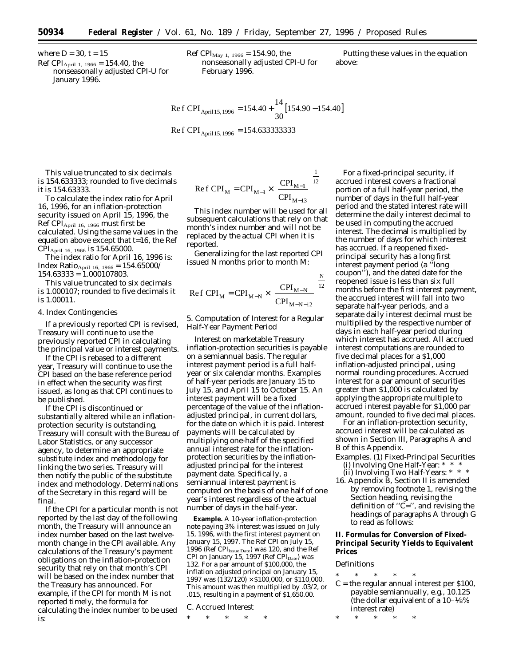where  $D = 30$ ,  $t = 15$ Ref CPI<sub>April 1, 1966</sub> = 154.40, the

nonseasonally adjusted CPI-U for January 1996.

Ref CPI $_{\text{May 1, 1966}} = 154.90$ , the nonseasonally adjusted CPI-U for February 1996.

Putting these values in the equation above:

Ref CPI<sub>April 15,1996</sub> = 154.40 + 
$$
\frac{14}{30}
$$
 [154.90 – 154.40]  
Ref CPI<sub>April 15,1996</sub> = 154.633333333

This value truncated to six decimals is 154.633333; rounded to five decimals it is 154.63333.

To calculate the index ratio for April 16, 1996, for an inflation-protection security issued on April 15, 1996, the Ref CPIApril 16, 1966 must first be calculated. Using the same values in the equation above except that t=16, the Ref  $\text{CPI}_{\text{April 16, 1966}}$  is 154.65000.

The index ratio for April 16, 1996 is:  $Index Ratio_{April 16, 1966} = 154.65000/$ 154.63333 = 1.000107803.

This value truncated to six decimals is 1.000107; rounded to five decimals it is 1.00011.

#### 4. Index Contingencies

If a previously reported CPI is revised, Treasury will continue to use the previously reported CPI in calculating the principal value or interest payments.

If the CPI is rebased to a different year, Treasury will continue to use the CPI based on the base reference period in effect when the security was first issued, as long as that CPI continues to be published.

If the CPI is discontinued or substantially altered while an inflationprotection security is outstanding, Treasury will consult with the Bureau of Labor Statistics, or any successor agency, to determine an appropriate substitute index and methodology for linking the two series. Treasury will then notify the public of the substitute index and methodology. Determinations of the Secretary in this regard will be final.

If the CPI for a particular month is not reported by the last day of the following month, the Treasury will announce an index number based on the last twelvemonth change in the CPI available. Any calculations of the Treasury's payment obligations on the inflation-protection security that rely on that month's CPI will be based on the index number that the Treasury has announced. For example, if the CPI for month M is not reported timely, the formula for calculating the index number to be used is:

Ref 
$$
CPI_M = CPI_{M-1} \times \left[ \frac{CPI_{M-1}}{CPI_{M-13}} \right]^{\frac{1}{12}}
$$

This index number will be used for all subsequent calculations that rely on that month's index number and will not be replaced by the actual CPI when it is reported.

Generalizing for the last reported CPI issued N months prior to month M:

Ref 
$$
CPI_M = CPI_{M-N} \times \left[ \frac{CPI_{M-N}}{CPI_{M-N-12}} \right]^{N/2}
$$

5. Computation of Interest for a Regular Half-Year Payment Period

Interest on marketable Treasury inflation-protection securities is payable on a semiannual basis. The regular interest payment period is a full halfyear or six calendar months. Examples of half-year periods are January 15 to July 15, and April 15 to October 15. An interest payment will be a fixed percentage of the value of the inflationadjusted principal, in current dollars, for the date on which it is paid. Interest payments will be calculated by multiplying one-half of the specified annual interest rate for the inflationprotection securities by the inflationadjusted principal for the interest payment date. Specifically, a semiannual interest payment is computed on the basis of one half of one year's interest regardless of the actual number of days in the half-year.

**Example.** A 10-year inflation-protection note paying 3% interest was issued on July 15, 1996, with the first interest payment on January 15, 1997. The Ref CPI on July 15, 1996 (Ref  $\text{CPI}_{\text{Issue Date}}$ ) was 120, and the Ref CPI on January 15, 1997 (Ref  $\text{CPI}_{\text{Date}}$ ) was 132. For a par amount of \$100,000, the inflation adjusted principal on January 15, 1997 was  $(132/120) \times $100,000$ , or \$110,000. This amount was then multiplied by .03/2, or .015, resulting in a payment of \$1,650.00.

*C. Accrued Interest*

\* \* \* \* \*

For a fixed-principal security, if accrued interest covers a fractional portion of a full half-year period, the number of days in the full half-year period and the stated interest rate will determine the daily interest decimal to be used in computing the accrued interest. The decimal is multiplied by the number of days for which interest has accrued. If a reopened fixedprincipal security has a long first interest payment period (a ''long coupon''), and the dated date for the reopened issue is less than six full months before the first interest payment, the accrued interest will fall into two separate half-year periods, and a separate daily interest decimal must be multiplied by the respective number of days in each half-year period during which interest has accrued. All accrued interest computations are rounded to five decimal places for a \$1,000 inflation-adjusted principal, using normal rounding procedures. Accrued interest for a par amount of securities greater than \$1,000 is calculated by applying the appropriate multiple to accrued interest payable for \$1,000 par amount, rounded to five decimal places.

For an inflation-protection security, accrued interest will be calculated as shown in Section III, Paragraphs A and B of this Appendix.

- Examples. (1) *Fixed-Principal Securities* (i) Involving One Half-Year: \* \* \* (ii) Involving Two Half-Years: \* \* \*
- 16. Appendix B, Section II is amended by removing footnote 1, revising the Section heading, revising the definition of " $\widetilde{C}$ =", and revising the headings of paragraphs A through G to read as follows:

**II. Formulas for Conversion of Fixed-Principal Security Yields to Equivalent Prices**

# *Definitions*

- \* \* \* \* \*  $C =$  the regular annual interest per \$100, payable semiannually, e.g., 10.125 (the dollar equivalent of a 10–1⁄8% interest rate)
- \* \* \* \* \*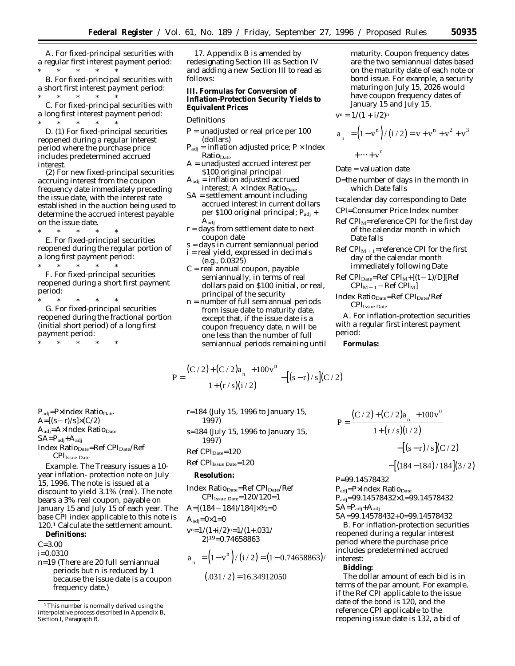A. *For fixed-principal securities with a regular first interest payment period:*

\* \* \* \* \* B. *For fixed-principal securities with a short first interest payment period:* \* \* \* \* \*

C. *For fixed-principal securities with a long first interest payment period:*

\* \* \* \* \* D. (1) *For fixed-principal securities reopened during a regular interest period where the purchase price includes predetermined accrued interest.*

(2) *For new fixed-principal securities accruing interest from the coupon frequency date immediately preceding the issue date, with the interest rate established in the auction being used to determine the accrued interest payable on the issue date.*

\* \* \* \* \* E. *For fixed-principal securities reopened during the regular portion of a long first payment period:*

\* \* \* \* \* F. *For fixed-principal securities reopened during a short first payment period:*

\* \* \* \* \* G. *For fixed-principal securities reopened during the fractional portion (initial short period) of a long first payment period:* \* \* \* \* \*

17. Appendix B is amended by redesignating Section III as Section IV and adding a new Section III to read as follows:

**III. Formulas for Conversion of Inflation-Protection Security Yields to Equivalent Prices**

#### *Definitions*

- $P =$  unadjusted or real price per 100 (dollars)
- $P_{\text{adj}}$  = inflation adjusted price;  $P \times \text{Index}$  $Ratio_{Date}$
- A = unadjusted accrued interest per \$100 original principal
- $A_{\text{adj}}$  = inflation adjusted accrued interest;  $A \times Index Ratio_{Date}$
- SA = settlement amount including accrued interest in current dollars per \$100 original principal; P<sub>adj</sub> + A<sub>adj</sub>
- $r = \text{days}$  from settlement date to next coupon date
- s = days in current semiannual period i = real yield, expressed in decimals (e.g., 0.0325)
- C = real annual coupon, payable semiannually, in terms of real dollars paid on \$100 initial, or real, principal of the security
- n = number of full semiannual periods from issue date to maturity date, except that, if the issue date is a coupon frequency date, n will be one less than the number of full semiannual periods remaining until

maturity. Coupon frequency dates are the two semiannual dates based on the maturity date of each note or bond issue. For example, a security maturing on July 15, 2026 would have coupon frequency dates of January 15 and July 15.

 $v^n = 1/(1 + i/2)^n$ 

$$
a_{n} = (1 - v^{n})/(i/2) = v + v^{n} + v^{2} + v^{3}
$$
  
+...+ v<sup>n</sup>

Date = valuation date

D=the number of days in the month in which Date falls

t=calendar day corresponding to Date

- CPI=Consumer Price Index number
- Ref  $\text{CPI}_{\text{M}}$ =reference CPI for the first day of the calendar month in which Date falls
- Ref CPI<sub>M+1</sub>=reference CPI for the first day of the calendar month immediately following Date
- $Ref CPI<sub>Date</sub>=Ref CPI<sub>M</sub>+[(t-1)/D][Ref]$  $\text{CPI}_{M+1} - \text{Ref } \text{CPI}_{M}$
- Index Ratio<sub>Date</sub>=Ref CPI<sub>Date</sub>/Ref  $\text{CPI}_{\text{Issue Date}}$

A. *For inflation-protection securities with a regular first interest payment period:*

**Formulas:**

$$
P = \frac{(C/2) + (C/2)a_{n} + 100v^{n}}{1 + (r/s)(i/2)} - [(s-r)/s](C/2)
$$

P<sub>adj</sub>=P×Index Ratio<sub>Date</sub>  $A=[(s-r)/s]\times(C/2)$  $A_{\text{adj}} = A \times \text{Index Ratio}_{\text{Date}}$  $SA = P_{\text{adj}} + A_{\text{adj}}$ Index Ratio<sub>Date</sub>=Ref CPI<sub>Date</sub>/Ref  $\text{CPI}_{\text{Issue Date}}$ 

*Example.* The Treasury issues a 10 year inflation- protection note on July 15, 1996. The note is issued at a discount to yield 3.1% (real). The note bears a 3% real coupon, payable on January 15 and July 15 of each year. The base CPI index applicable to this note is 120.1 Calculate the settlement amount.

**Definitions:**

 $C = 3.00$ 

i=0.0310

n=19 (There are 20 full semiannual periods but n is reduced by 1 because the issue date is a coupon frequency date.)

r=184 (July 15, 1996 to January 15, 1997) s=184 (July 15, 1996 to January 15, 1997)

Ref CPI<sub>Date</sub>=120

Ref CPI<sub>Issue</sub> Date=120

**Resolution:**

Index Ratio<sub>Date</sub>=Ref CPI<sub>Date</sub>/Ref  $CPI<sub>Issue Date</sub>=120/120=1$ 

 $A=[(184-184)/184]\times \frac{3}{2}=0$ 

 $A_{\text{adj}}=0\times1=0$ 

$$
v^{n=1/(1+i/2)^{n=1/(1+.031/2)19=0.74658863}
$$

$$
a_{n} = (1 - v^{n})/(i / 2) = (1 - 0.74658863)/
$$
  
(.031 / 2) = 16.34912050

$$
P = \frac{(C/2) + (C/2)a_{n1} + 100v^{n}}{1 + (r/s)(i/2)}
$$
  
-([s-r)/s](C/2)  
-[(184-184)/184](3/2)

P=99.14578432

 $P_{\rm adj}\!\!=\!\!P\!\!\times\!\!Index$  Ratio $_{\rm Date}$ 

Padj=99.14578432×1=99.14578432  $SA = P_{\text{adj}} + A_{\text{adj}}$ 

SA=99.14578432+0=99.14578432 B. *For inflation-protection securities reopened during a regular interest period where the purchase price includes predetermined accrued interest:*

**Bidding:**

The dollar amount of each bid is in terms of the par amount. For example, if the Ref CPI applicable to the issue date of the bond is 120, and the reference CPI applicable to the reopening issue date is 132, a bid of

<sup>&</sup>lt;sup>1</sup>This number is normally derived using the interpolative process described in Appendix B, Section I, Paragraph B.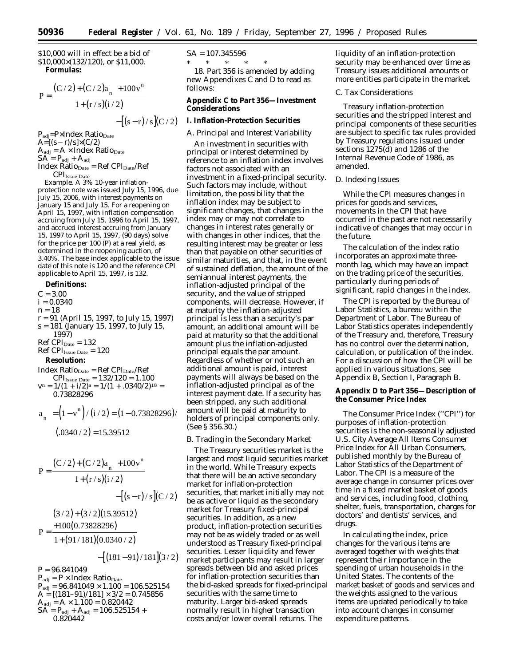\$10,000 will in effect be a bid of \$10,000×(132/120), or \$11,000. **Formulas:**

$$
P = \frac{(C/2) + (C/2)a_{n} + 100v^{n}}{1 + (r/s)(i/2)}
$$

 $-[(s-r)/s](C/2)$ 

P<sub>adj</sub>=P×Index Ratio<sub>Date</sub>  $A=[(s-r)/s]\times(C/2)$  $A_{\text{adj}} = A \times \text{Index Ratio}_{\text{Date}}$  $SA = P_{\text{adj}} + A_{\text{adj}}$  $Index Ratio<sub>Date</sub> = Ref CPI<sub>Date</sub>/Ref$  $\rm {CPI}_{\rm{Issue\, Date}}$ 

*Example.* A 3% 10-year inflationprotection note was issued July 15, 1996, due

July 15, 2006, with interest payments on January 15 and July 15. For a reopening on April 15, 1997, with inflation compensation accruing from July 15, 1996 to April 15, 1997, and accrued interest accruing from January 15, 1997 to April 15, 1997, (90 days) solve for the price per 100 (P) at a real yield, as determined in the reopening auction, of 3.40%. The base index applicable to the issue date of this note is 120 and the reference CPI applicable to April 15, 1997, is 132.

**Definitions:**  $C = 3.00$  $i = 0.0340$  $n = 18$ r = 91 (April 15, 1997, to July 15, 1997) s = 181 (January 15, 1997, to July 15, 1997)  $Ref CPI_{Date} = 132$  $Ref CPI<sub>Issue Date</sub> = 120$ **Resolution:**  $Index Ratio<sub>Date</sub> = Ref CPI<sub>Date</sub>/Ref$  $\text{CPI}_{\text{Issue Date}} = 132/120 = 1.100$  $v^n = 1/(1 + i/2)^a = 1/(1 + .0340/2)^{18} =$ 0.73828296

$$
a_{n} = (1 - v^{n})/(i / 2) = (1 - 0.73828296) /
$$
  
(.0340 / 2) = 15.39512

$$
P = \frac{(C/2) + (C/2)a_{n} + 100v^{n}}{1 + (r/s)(i/2)}
$$
  
-([s-r)/s](C/2)  
(3/2) + (3/2)(15.39512)  

$$
P = \frac{+100(0.73828296)}{1 + (91/181)(0.0340/2)}
$$

$$
-[(181-91)/181](3/2)
$$

 $P = 96.841049$  $P_{\rm adj} = P \times Index Ratio_{\rm Date}$  $P_{\text{adj}} = 96.841049 \times 1.100 = 106.525154$  $A = \left[\frac{(181-91)}{181}\right] \times \frac{3}{2} = 0.745856$  $A_{\rm adj} = A \times 1.100 = 0.820442$  $SA = P_{\text{adj}} + A_{\text{adj}} = 106.525154 +$ 0.820442

 $SA = 107.345596$  $*$  \*

18. Part 356 is amended by adding new Appendixes C and D to read as follows:

**Appendix C to Part 356—Investment Considerations**

**I. Inflation-Protection Securities**

*A. Principal and Interest Variability*

An investment in securities with principal or interest determined by reference to an inflation index involves factors not associated with an investment in a fixed-principal security. Such factors may include, without limitation, the possibility that the inflation index may be subject to significant changes, that changes in the index may or may not correlate to changes in interest rates generally or with changes in other indices, that the resulting interest may be greater or less than that payable on other securities of similar maturities, and that, in the event of sustained deflation, the amount of the semiannual interest payments, the inflation-adjusted principal of the security, and the value of stripped components, will decrease. However, if at maturity the inflation-adjusted principal is less than a security's par amount, an additional amount will be paid at maturity so that the additional amount plus the inflation-adjusted principal equals the par amount. Regardless of whether or not such an additional amount is paid, interest payments will always be based on the inflation-adjusted principal as of the interest payment date. If a security has been stripped, any such additional amount will be paid at maturity to holders of principal components only. (See § 356.30.)

# *B. Trading in the Secondary Market*

The Treasury securities market is the largest and most liquid securities market in the world. While Treasury expects that there will be an active secondary market for inflation-protection securities, that market initially may not be as active or liquid as the secondary market for Treasury fixed-principal securities. In addition, as a new product, inflation-protection securities may not be as widely traded or as well understood as Treasury fixed-principal securities. Lesser liquidity and fewer market participants may result in larger spreads between bid and asked prices for inflation-protection securities than the bid-asked spreads for fixed-principal securities with the same time to maturity. Larger bid-asked spreads normally result in higher transaction costs and/or lower overall returns. The

liquidity of an inflation-protection security may be enhanced over time as Treasury issues additional amounts or more entities participate in the market.

## *C. Tax Considerations*

Treasury inflation-protection securities and the stripped interest and principal components of these securities are subject to specific tax rules provided by Treasury regulations issued under sections 1275(d) and 1286 of the Internal Revenue Code of 1986, as amended.

### *D. Indexing Issues*

While the CPI measures changes in prices for goods and services, movements in the CPI that have occurred in the past are not necessarily indicative of changes that may occur in the future.

The calculation of the index ratio incorporates an approximate threemonth lag, which may have an impact on the trading price of the securities, particularly during periods of significant, rapid changes in the index.

The CPI is reported by the Bureau of Labor Statistics, a bureau within the Department of Labor. The Bureau of Labor Statistics operates independently of the Treasury and, therefore, Treasury has no control over the determination, calculation, or publication of the index. For a discussion of how the CPI will be applied in various situations, see Appendix B, Section I, Paragraph B.

**Appendix D to Part 356—Description of the Consumer Price Index**

The Consumer Price Index (''CPI'') for purposes of inflation-protection securities is the non-seasonally adjusted *U.S. City Average All Items Consumer Price Index for All Urban Consumers,* published monthly by the Bureau of Labor Statistics of the Department of Labor. The CPI is a measure of the average change in consumer prices over time in a fixed market basket of goods and services, including food, clothing, shelter, fuels, transportation, charges for doctors' and dentists' services, and drugs.

In calculating the index, price changes for the various items are averaged together with weights that represent their importance in the spending of urban households in the United States. The contents of the market basket of goods and services and the weights assigned to the various items are updated periodically to take into account changes in consumer expenditure patterns.